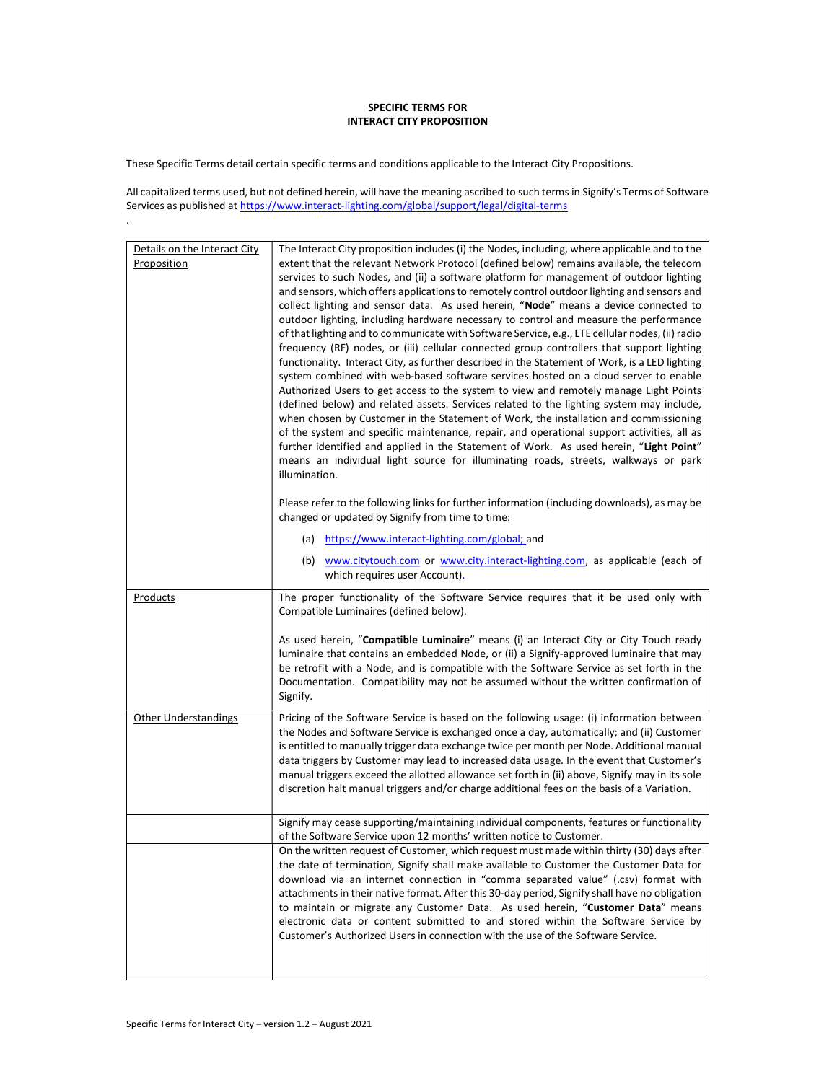## SPECIFIC TERMS FOR INTERACT CITY PROPOSITION

These Specific Terms detail certain specific terms and conditions applicable to the Interact City Propositions.

.

All capitalized terms used, but not defined herein, will have the meaning ascribed to such terms in Signify's Terms of Software Services as published at https://www.interact-lighting.com/global/support/legal/digital-terms

| Details on the Interact City | The Interact City proposition includes (i) the Nodes, including, where applicable and to the                                                                                                                                                                                                                                                                                    |
|------------------------------|---------------------------------------------------------------------------------------------------------------------------------------------------------------------------------------------------------------------------------------------------------------------------------------------------------------------------------------------------------------------------------|
| Proposition                  | extent that the relevant Network Protocol (defined below) remains available, the telecom<br>services to such Nodes, and (ii) a software platform for management of outdoor lighting                                                                                                                                                                                             |
|                              | and sensors, which offers applications to remotely control outdoor lighting and sensors and<br>collect lighting and sensor data. As used herein, "Node" means a device connected to                                                                                                                                                                                             |
|                              | outdoor lighting, including hardware necessary to control and measure the performance                                                                                                                                                                                                                                                                                           |
|                              | of that lighting and to communicate with Software Service, e.g., LTE cellular nodes, (ii) radio<br>frequency (RF) nodes, or (iii) cellular connected group controllers that support lighting                                                                                                                                                                                    |
|                              | functionality. Interact City, as further described in the Statement of Work, is a LED lighting                                                                                                                                                                                                                                                                                  |
|                              | system combined with web-based software services hosted on a cloud server to enable<br>Authorized Users to get access to the system to view and remotely manage Light Points                                                                                                                                                                                                    |
|                              | (defined below) and related assets. Services related to the lighting system may include,<br>when chosen by Customer in the Statement of Work, the installation and commissioning                                                                                                                                                                                                |
|                              | of the system and specific maintenance, repair, and operational support activities, all as                                                                                                                                                                                                                                                                                      |
|                              | further identified and applied in the Statement of Work. As used herein, "Light Point"<br>means an individual light source for illuminating roads, streets, walkways or park                                                                                                                                                                                                    |
|                              | illumination.                                                                                                                                                                                                                                                                                                                                                                   |
|                              | Please refer to the following links for further information (including downloads), as may be<br>changed or updated by Signify from time to time:                                                                                                                                                                                                                                |
|                              | (a) https://www.interact-lighting.com/global; and                                                                                                                                                                                                                                                                                                                               |
|                              | (b) www.citytouch.com or www.city.interact-lighting.com, as applicable (each of<br>which requires user Account).                                                                                                                                                                                                                                                                |
| <u>Products</u>              | The proper functionality of the Software Service requires that it be used only with<br>Compatible Luminaires (defined below).                                                                                                                                                                                                                                                   |
|                              | As used herein, "Compatible Luminaire" means (i) an Interact City or City Touch ready<br>luminaire that contains an embedded Node, or (ii) a Signify-approved luminaire that may<br>be retrofit with a Node, and is compatible with the Software Service as set forth in the<br>Documentation. Compatibility may not be assumed without the written confirmation of<br>Signify. |
| <b>Other Understandings</b>  | Pricing of the Software Service is based on the following usage: (i) information between                                                                                                                                                                                                                                                                                        |
|                              | the Nodes and Software Service is exchanged once a day, automatically; and (ii) Customer<br>is entitled to manually trigger data exchange twice per month per Node. Additional manual                                                                                                                                                                                           |
|                              | data triggers by Customer may lead to increased data usage. In the event that Customer's                                                                                                                                                                                                                                                                                        |
|                              | manual triggers exceed the allotted allowance set forth in (ii) above, Signify may in its sole<br>discretion halt manual triggers and/or charge additional fees on the basis of a Variation.                                                                                                                                                                                    |
|                              | Signify may cease supporting/maintaining individual components, features or functionality<br>of the Software Service upon 12 months' written notice to Customer.                                                                                                                                                                                                                |
|                              | On the written request of Customer, which request must made within thirty (30) days after<br>the date of termination, Signify shall make available to Customer the Customer Data for                                                                                                                                                                                            |
|                              | download via an internet connection in "comma separated value" (.csv) format with<br>attachments in their native format. After this 30-day period, Signify shall have no obligation                                                                                                                                                                                             |
|                              | to maintain or migrate any Customer Data. As used herein, "Customer Data" means                                                                                                                                                                                                                                                                                                 |
|                              | electronic data or content submitted to and stored within the Software Service by<br>Customer's Authorized Users in connection with the use of the Software Service.                                                                                                                                                                                                            |
|                              |                                                                                                                                                                                                                                                                                                                                                                                 |